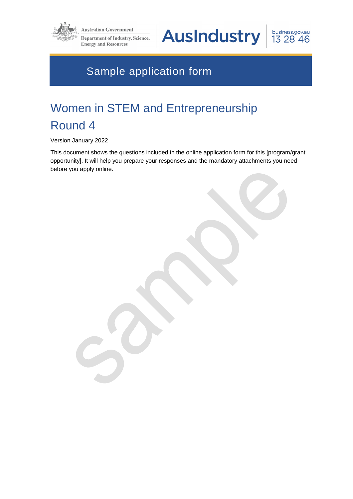

**Australian Government** 

**Department of Industry, Science, Energy and Resources** 

**AusIndustry** 

business.gov.au 13 28 46

# Sample application form

# Women in STEM and Entrepreneurship Round 4

Version January 2022

This document shows the questions included in the online application form for this [program/grant opportunity]. It will help you prepare your responses and the mandatory attachments you need before you apply online.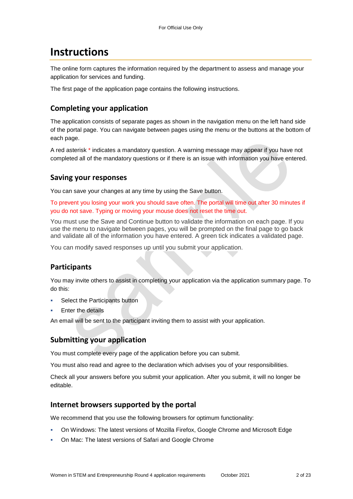## **Instructions**

The online form captures the information required by the department to assess and manage your application for services and funding.

The first page of the application page contains the following instructions.

## **Completing your application**

The application consists of separate pages as shown in the navigation menu on the left hand side of the portal page. You can navigate between pages using the menu or the buttons at the bottom of each page.

A red asterisk \* indicates a mandatory question. A warning message may appear if you have not completed all of the mandatory questions or if there is an issue with information you have entered.

### **Saving your responses**

You can save your changes at any time by using the Save button.

To prevent you losing your work you should save often. The portal will time out after 30 minutes if you do not save. Typing or moving your mouse does not reset the time out.

You must use the Save and Continue button to validate the information on each page. If you use the menu to navigate between pages, you will be prompted on the final page to go back and validate all of the information you have entered. A green tick indicates a validated page.

You can modify saved responses up until you submit your application.

## **Participants**

You may invite others to assist in completing your application via the application summary page. To do this:

- Select the Participants button
- Enter the details

An email will be sent to the participant inviting them to assist with your application.

## **Submitting your application**

You must complete every page of the application before you can submit.

You must also read and agree to the declaration which advises you of your responsibilities.

Check all your answers before you submit your application. After you submit, it will no longer be editable.

#### **Internet browsers supported by the portal**

We recommend that you use the following browsers for optimum functionality:

- On Windows: The latest versions of Mozilla Firefox, Google Chrome and Microsoft Edge
- On Mac: The latest versions of Safari and Google Chrome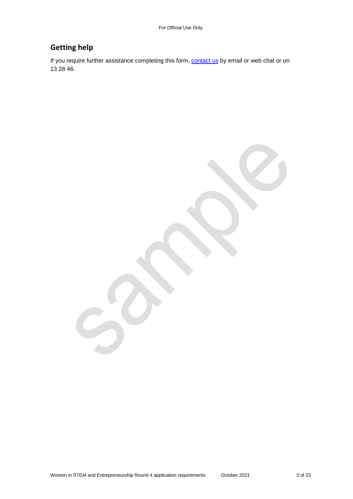## **Getting help**

If you require further assistance completing this form, **contact us** by email or web chat or on 13 28 46.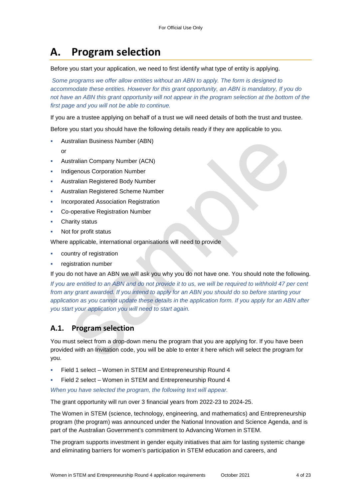# **A. Program selection**

Before you start your application, we need to first identify what type of entity is applying.

*Some programs we offer allow entities without an ABN to apply. The form is designed to accommodate these entities. However for this grant opportunity, an ABN is mandatory, If you do*  not have an ABN this grant opportunity will not appear in the program selection at the bottom of the *first page and you will not be able to continue.* 

If you are a trustee applying on behalf of a trust we will need details of both the trust and trustee.

Before you start you should have the following details ready if they are applicable to you.

- Australian Business Number (ABN)
	- or
- Australian Company Number (ACN)
- Indigenous Corporation Number
- Australian Registered Body Number
- Australian Registered Scheme Number
- Incorporated Association Registration
- Co-operative Registration Number
- Charity status
- Not for profit status

Where applicable, international organisations will need to provide

- country of registration
- registration number

If you do not have an ABN we will ask you why you do not have one. You should note the following.

*If you are entitled to an ABN and do not provide it to us, we will be required to withhold 47 per cent from any grant awarded. If you intend to apply for an ABN you should do so before starting your application as you cannot update these details in the application form. If you apply for an ABN after you start your application you will need to start again.* 

## **A.1. Program selection**

You must select from a drop-down menu the program that you are applying for. If you have been provided with an Invitation code, you will be able to enter it here which will select the program for you.

- Field 1 select Women in STEM and Entrepreneurship Round 4
- Field 2 select Women in STEM and Entrepreneurship Round 4

*When you have selected the program, the following text will appear.* 

The grant opportunity will run over 3 financial years from 2022-23 to 2024-25.

The Women in STEM (science, technology, engineering, and mathematics) and Entrepreneurship program (the program) was announced under the National Innovation and Science Agenda, and is part of the Australian Government's commitment to Advancing Women in STEM.

The program supports investment in gender equity initiatives that aim for lasting systemic change and eliminating barriers for women's participation in STEM education and careers, and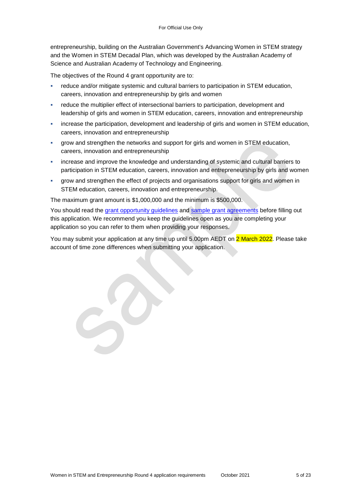entrepreneurship, building on the Australian Government's Advancing Women in STEM strategy and the Women in STEM Decadal Plan, which was developed by the Australian Academy of Science and Australian Academy of Technology and Engineering.

The objectives of the Round 4 grant opportunity are to:

- reduce and/or mitigate systemic and cultural barriers to participation in STEM education, careers, innovation and entrepreneurship by girls and women
- reduce the multiplier effect of intersectional barriers to participation, development and leadership of girls and women in STEM education, careers, innovation and entrepreneurship
- increase the participation, development and leadership of girls and women in STEM education, careers, innovation and entrepreneurship
- grow and strengthen the networks and support for girls and women in STEM education, careers, innovation and entrepreneurship
- increase and improve the knowledge and understanding of systemic and cultural barriers to participation in STEM education, careers, innovation and entrepreneurship by girls and women
- grow and strengthen the effect of projects and organisations support for girls and women in STEM education, careers, innovation and entrepreneurship.

The maximum grant amount is \$1,000,000 and the minimum is \$500,000.

You should read the grant opportunity guidelines and sample grant agreements before filling out this application. We recommend you keep the guidelines open as you are completing your application so you can refer to them when providing your responses.

You may submit your application at any time up until 5.00pm AEDT on 2 March 2022. Please take account of time zone differences when submitting your application.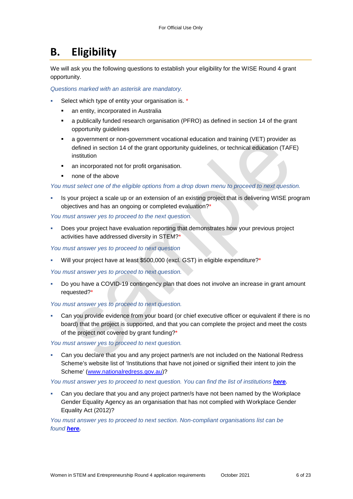# **B. Eligibility**

We will ask you the following questions to establish your eligibility for the WISE Round 4 grant opportunity.

*Questions marked with an asterisk are mandatory.* 

- Select which type of entity your organisation is. \*
	- an entity, incorporated in Australia
	- a publically funded research organisation (PFRO) as defined in section 14 of the grant opportunity guidelines
	- a government or non-government vocational education and training (VET) provider as defined in section 14 of the grant opportunity guidelines, or technical education (TAFE) institution
	- an incorporated not for profit organisation.
	- none of the above

*You must select one of the eligible options from a drop down menu to proceed to next question.* 

 Is your project a scale up or an extension of an existing project that is delivering WISE program objectives and has an ongoing or completed evaluation?\*

*You must answer yes to proceed to the next question.* 

 Does your project have evaluation reporting that demonstrates how your previous project activities have addressed diversity in STEM?\*

*You must answer yes to proceed to next question* 

Will your project have at least \$500,000 (excl. GST) in eligible expenditure?\*

*You must answer yes to proceed to next question.* 

 Do you have a COVID-19 contingency plan that does not involve an increase in grant amount requested?\*

#### *You must answer yes to proceed to next question.*

 Can you provide evidence from your board (or chief executive officer or equivalent if there is no board) that the project is supported, and that you can complete the project and meet the costs of the project not covered by grant funding?\*

*You must answer yes to proceed to next question.* 

 Can you declare that you and any project partner/s are not included on the National Redress Scheme's website list of 'Institutions that have not joined or signified their intent to join the Scheme' [\(www.nationalredress.gov.au\)](http://www.nationalredress.gov.au/)?

You must answer yes to proceed to next question. You can find the list of institutions **[here.](https://www.nationalredress.gov.au/)** 

 Can you declare that you and any project partner/s have not been named by the Workplace Gender Equality Agency as an organisation that has not complied with Workplace Gender Equality Act (2012)?

*You must answer yes to proceed to next section. Non-compliant organisations list can be found [here.](https://www.wgea.gov.au/what-we-do/compliance-reporting/non-compliant-list)*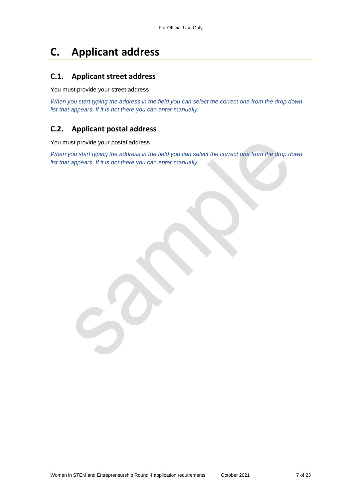# **C. Applicant address**

### **C.1. Applicant street address**

You must provide your street address

*When you start typing the address in the field you can select the correct one from the drop down list that appears. If it is not there you can enter manually.* 

## **C.2. Applicant postal address**

You must provide your postal address

*When you start typing the address in the field you can select the correct one from the drop down list that appears. If it is not there you can enter manually.*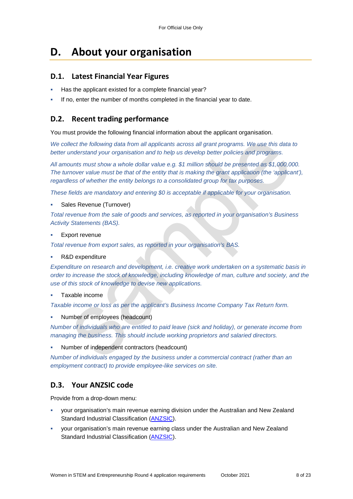## **D. About your organisation**

#### **D.1. Latest Financial Year Figures**

- Has the applicant existed for a complete financial year?
- If no, enter the number of months completed in the financial year to date.

### **D.2. Recent trading performance**

You must provide the following financial information about the applicant organisation.

*We collect the following data from all applicants across all grant programs. We use this data to better understand your organisation and to help us develop better policies and programs.*

*All amounts must show a whole dollar value e.g. \$1 million should be presented as \$1,000,000. The turnover value must be that of the entity that is making the grant application (the 'applicant'), regardless of whether the entity belongs to a consolidated group for tax purposes.* 

*These fields are mandatory and entering \$0 is acceptable if applicable for your organisation.* 

#### Sales Revenue (Turnover)

*Total revenue from the sale of goods and services, as reported in your organisation's Business Activity Statements (BAS).* 

Export revenue

*Total revenue from export sales, as reported in your organisation's BAS.* 

R&D expenditure

*Expenditure on research and development, i.e. creative work undertaken on a systematic basis in order to increase the stock of knowledge, including knowledge of man, culture and society, and the use of this stock of knowledge to devise new applications.* 

#### Taxable income

*Taxable income or loss as per the applicant's Business Income Company Tax Return form.* 

Number of employees (headcount)

*Number of individuals who are entitled to paid leave (sick and holiday), or generate income from managing the business. This should include working proprietors and salaried directors.* 

Number of independent contractors (headcount)

*Number of individuals engaged by the business under a commercial contract (rather than an employment contract) to provide employee-like services on site.* 

## **D.3. Your ANZSIC code**

Provide from a drop-down menu:

- your organisation's main revenue earning division under the Australian and New Zealand Standard Industrial Classification [\(ANZSIC\)](https://www.abs.gov.au/ausstats/abs@.nsf/0/20C5B5A4F46DF95BCA25711F00146D75?opendocument).
- your organisation's main revenue earning class under the Australian and New Zealand Standard Industrial Classification [\(ANZSIC\)](https://www.abs.gov.au/ausstats/abs@.nsf/0/20C5B5A4F46DF95BCA25711F00146D75?opendocument).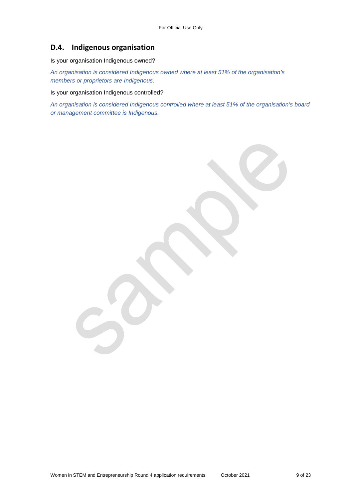## **D.4. Indigenous organisation**

Is your organisation Indigenous owned?

*An organisation is considered Indigenous owned where at least 51% of the organisation's members or proprietors are Indigenous.* 

Is your organisation Indigenous controlled?

*An organisation is considered Indigenous controlled where at least 51% of the organisation's board or management committee is Indigenous.*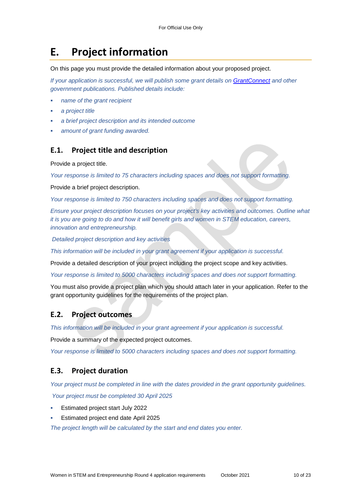## **E. Project information**

On this page you must provide the detailed information about your proposed project.

*If your application is successful, we will publish some grant details on GrantConnect and other government publications. Published details include:* 

- *name of the grant recipient*
- *a project title*
- *a brief project description and its intended outcome*
- *amount of grant funding awarded.*

#### **E.1. Project title and description**

Provide a project title.

*Your response is limited to 75 characters including spaces and does not support formatting.* 

Provide a brief project description.

*Your response is limited to 750 characters including spaces and does not support formatting.* 

*Ensure your project description focuses on your project's key activities and outcomes. Outline what it is you are going to do and how it will benefit girls and women in STEM education, careers, innovation and entrepreneurship.* 

 *Detailed project description and key activities* 

*This information will be included in your grant agreement if your application is successful.* 

Provide a detailed description of your project including the project scope and key activities.

*Your response is limited to 5000 characters including spaces and does not support formatting.* 

You must also provide a project plan which you should attach later in your application. Refer to the grant opportunity guidelines for the requirements of the project plan.

#### **E.2. Project outcomes**

*This information will be included in your grant agreement if your application is successful.* 

Provide a summary of the expected project outcomes.

*Your response is limited to 5000 characters including spaces and does not support formatting.* 

#### **E.3. Project duration**

*Your project must be completed in line with the dates provided in the grant opportunity guidelines.* 

*Your project must be completed 30 April 2025* 

- Estimated project start July 2022
- Estimated project end date April 2025

*The project length will be calculated by the start and end dates you enter.*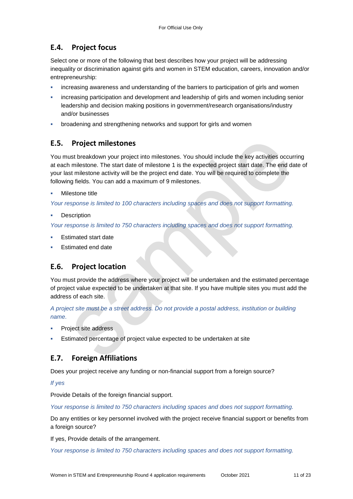## **E.4. Project focus**

Select one or more of the following that best describes how your project will be addressing inequality or discrimination against girls and women in STEM education, careers, innovation and/or entrepreneurship:

- increasing awareness and understanding of the barriers to participation of girls and women
- increasing participation and development and leadership of girls and women including senior leadership and decision making positions in government/research organisations/industry and/or businesses
- broadening and strengthening networks and support for girls and women

### **E.5. Project milestones**

You must breakdown your project into milestones. You should include the key activities occurring at each milestone. The start date of milestone 1 is the expected project start date. The end date of your last milestone activity will be the project end date. You will be required to complete the following fields. You can add a maximum of 9 milestones.

#### Milestone title

*Your response is limited to 100 characters including spaces and does not support formatting.* 

**Description** 

*Your response is limited to 750 characters including spaces and does not support formatting.* 

- Estimated start date
- Estimated end date

## **E.6. Project location**

You must provide the address where your project will be undertaken and the estimated percentage of project value expected to be undertaken at that site. If you have multiple sites you must add the address of each site.

*A project site must be a street address. Do not provide a postal address, institution or building name.* 

- Project site address
- Estimated percentage of project value expected to be undertaken at site

## **E.7. Foreign Affiliations**

Does your project receive any funding or non-financial support from a foreign source?

#### *If yes*

Provide Details of the foreign financial support.

*Your response is limited to 750 characters including spaces and does not support formatting.* 

Do any entities or key personnel involved with the project receive financial support or benefits from a foreign source?

If yes, Provide details of the arrangement.

*Your response is limited to 750 characters including spaces and does not support formatting.*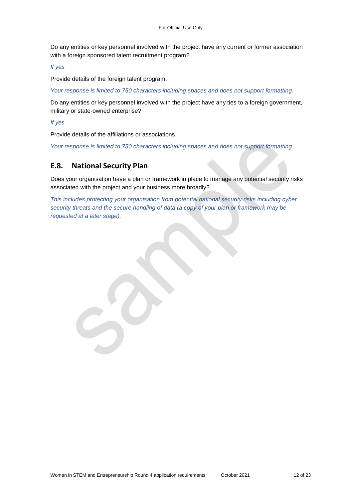Do any entities or key personnel involved with the project have any current or former association with a foreign sponsored talent recruitment program?

*If yes* 

Provide details of the foreign talent program.

*Your response is limited to 750 characters including spaces and does not support formatting.* 

Do any entities or key personnel involved with the project have any ties to a foreign government, military or state-owned enterprise?

*If yes* 

Provide details of the affiliations or associations.

*Your response is limited to 750 characters including spaces and does not support formatting.* 

#### **E.8. National Security Plan**

Does your organisation have a plan or framework in place to manage any potential security risks associated with the project and your business more broadly?

*This includes protecting your organisation from potential national security risks including cyber security threats and the secure handling of data (a copy of your plan or framework may be requested at a later stage).*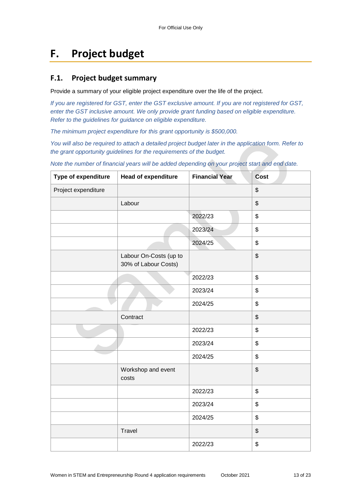# **F. Project budget**

### **F.1. Project budget summary**

Provide a summary of your eligible project expenditure over the life of the project.

*If you are registered for GST, enter the GST exclusive amount. If you are not registered for GST, enter the GST inclusive amount. We only provide grant funding based on eligible expenditure. Refer to the guidelines for guidance on eligible expenditure.* 

*The minimum project expenditure for this grant opportunity is \$500,000.* 

*You will also be required to attach a detailed project budget later in the application form. Refer to the grant opportunity guidelines for the requirements of the budget.* 

**Type of expenditure | Head of expenditure | Financial Year | Cost** Project expenditure the state of the state of  $\sim$  $\Box$ Labour  $\Box$ 2022/23 \$ 2023/24 \$ 2024/25 \$ Labour On-Costs (up to 30% of Labour Costs) \$ 2022/23 \$ 2023/24 \$ 2024/25 \$ Contract Services and the services of the services of the services of the services of the services of the services of the services of the services of the services of the services of the services of the services of the serv 2022/23 \$ 2023/24 \$ 2024/25 \$ Workshop and event costs \$ 2022/23 \$ 2023/24 \$ 2024/25 \$ Travel \$ 2022/23 \$

*Note the number of financial years will be added depending on your project start and end date.*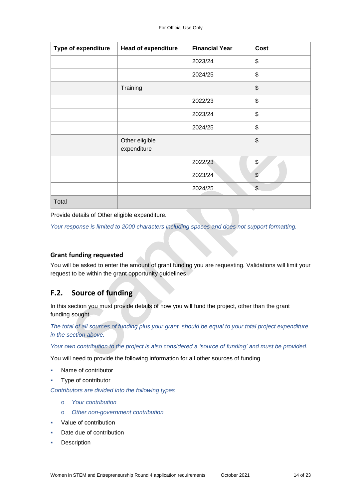| <b>Type of expenditure</b> | <b>Head of expenditure</b>    | <b>Financial Year</b> | Cost                    |
|----------------------------|-------------------------------|-----------------------|-------------------------|
|                            |                               | 2023/24               | \$                      |
|                            |                               | 2024/25               | \$                      |
|                            | Training                      |                       | \$                      |
|                            |                               | 2022/23               | \$                      |
|                            |                               | 2023/24               | \$                      |
|                            |                               | 2024/25               | \$                      |
|                            | Other eligible<br>expenditure |                       | \$                      |
|                            |                               | 2022/23               | \$                      |
|                            |                               | 2023/24               | \$                      |
|                            |                               | 2024/25               | $\sqrt[6]{\frac{1}{2}}$ |
| Total                      |                               |                       |                         |

Provide details of Other eligible expenditure.

*Your response is limited to 2000 characters including spaces and does not support formatting.* 

#### **Grant funding requested**

You will be asked to enter the amount of grant funding you are requesting. Validations will limit your request to be within the grant opportunity guidelines.

#### **F.2. Source of funding**

In this section you must provide details of how you will fund the project, other than the grant funding sought.

*The total of all sources of funding plus your grant, should be equal to your total project expenditure in the section above.* 

*Your own contribution to the project is also considered a 'source of funding' and must be provided.* 

You will need to provide the following information for all other sources of funding

- Name of contributor
- Type of contributor

*Contributors are divided into the following types* 

- o *Your contribution*
- o *Other non-government contribution*
- Value of contribution
- Date due of contribution
- Description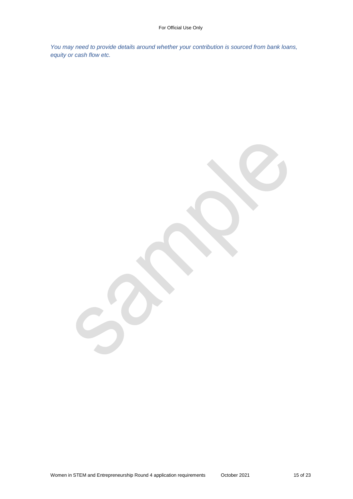*You may need to provide details around whether your contribution is sourced from bank loans, equity or cash flow etc.* 

 $\sim$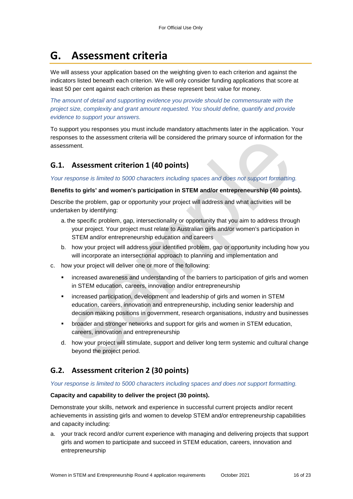# **G. Assessment criteria**

We will assess your application based on the weighting given to each criterion and against the indicators listed beneath each criterion. We will only consider funding applications that score at least 50 per cent against each criterion as these represent best value for money.

*The amount of detail and supporting evidence you provide should be commensurate with the project size, complexity and grant amount requested. You should define, quantify and provide evidence to support your answers.* 

To support you responses you must include mandatory attachments later in the application. Your responses to the assessment criteria will be considered the primary source of information for the assessment.

## **G.1. Assessment criterion 1 (40 points)**

*Your response is limited to 5000 characters including spaces and does not support formatting.* 

#### **Benefits to girls' and women's participation in STEM and/or entrepreneurship (40 points).**

Describe the problem, gap or opportunity your project will address and what activities will be undertaken by identifying:

- a. the specific problem, gap, intersectionality or opportunity that you aim to address through your project. Your project must relate to Australian girls and/or women's participation in STEM and/or entrepreneurship education and careers
- b. how your project will address your identified problem, gap or opportunity including how you will incorporate an intersectional approach to planning and implementation and
- c. how your project will deliver one or more of the following:
	- increased awareness and understanding of the barriers to participation of girls and women in STEM education, careers, innovation and/or entrepreneurship
	- increased participation, development and leadership of girls and women in STEM education, careers, innovation and entrepreneurship, including senior leadership and decision making positions in government, research organisations, industry and businesses
	- **•** broader and stronger networks and support for girls and women in STEM education, careers, innovation and entrepreneurship
	- d. how your project will stimulate, support and deliver long term systemic and cultural change beyond the project period.

## **G.2. Assessment criterion 2 (30 points)**

#### *Your response is limited to 5000 characters including spaces and does not support formatting.*

#### **Capacity and capability to deliver the project (30 points).**

Demonstrate your skills, network and experience in successful current projects and/or recent achievements in assisting girls and women to develop STEM and/or entrepreneurship capabilities and capacity including:

a. your track record and/or current experience with managing and delivering projects that support girls and women to participate and succeed in STEM education, careers, innovation and entrepreneurship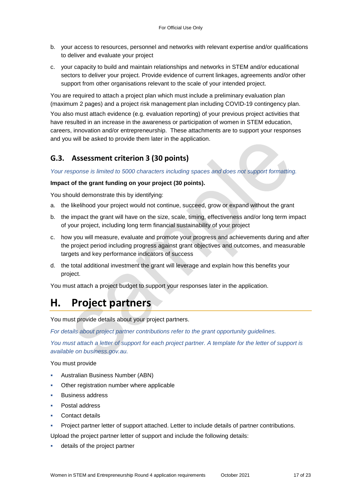- b. your access to resources, personnel and networks with relevant expertise and/or qualifications to deliver and evaluate your project
- c. your capacity to build and maintain relationships and networks in STEM and/or educational sectors to deliver your project. Provide evidence of current linkages, agreements and/or other support from other organisations relevant to the scale of your intended project.

You are required to attach a project plan which must include a preliminary evaluation plan (maximum 2 pages) and a project risk management plan including COVID-19 contingency plan.

You also must attach evidence (e.g. evaluation reporting) of your previous project activities that have resulted in an increase in the awareness or participation of women in STEM education, careers, innovation and/or entrepreneurship. These attachments are to support your responses and you will be asked to provide them later in the application.

## **G.3. Assessment criterion 3 (30 points)**

*Your response is limited to 5000 characters including spaces and does not support formatting.* 

#### **Impact of the grant funding on your project (30 points).**

You should demonstrate this by identifying:

- a. the likelihood your project would not continue, succeed, grow or expand without the grant
- b. the impact the grant will have on the size, scale, timing, effectiveness and/or long term impact of your project, including long term financial sustainability of your project
- c. how you will measure, evaluate and promote your progress and achievements during and after the project period including progress against grant objectives and outcomes, and measurable targets and key performance indicators of success
- d. the total additional investment the grant will leverage and explain how this benefits your project.

You must attach a project budget to support your responses later in the application.

## **H. Project partners**

You must provide details about your project partners.

*For details about project partner contributions refer to the grant opportunity guidelines.* 

*You must attach a letter of support for each project partner. A template for the letter of support is available on business.gov.au.* 

You must provide

- Australian Business Number (ABN)
- Other registration number where applicable
- Business address
- Postal address
- Contact details
- Project partner letter of support attached. Letter to include details of partner contributions.

Upload the project partner letter of support and include the following details:

details of the project partner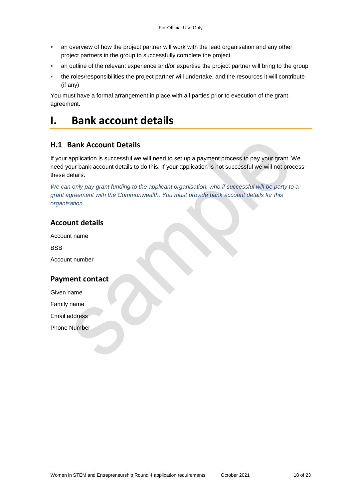- an overview of how the project partner will work with the lead organisation and any other project partners in the group to successfully complete the project
- an outline of the relevant experience and/or expertise the project partner will bring to the group
- the roles/responsibilities the project partner will undertake, and the resources it will contribute (if any)

You must have a formal arrangement in place with all parties prior to execution of the grant agreement.

## **I. Bank account details**

#### **H.1 Bank Account Details**

If your application is successful we will need to set up a payment process to pay your grant. We need your bank account details to do this. If your application is not successful we will not process these details.

*We can only pay grant funding to the applicant organisation, who if successful will be party to a grant agreement with the Commonwealth. You must provide bank account details for this organisation.* 

### **Account details**

Account name

**BSB** 

Account number

#### **Payment contact**

Given name

Family name

Email address

Phone Number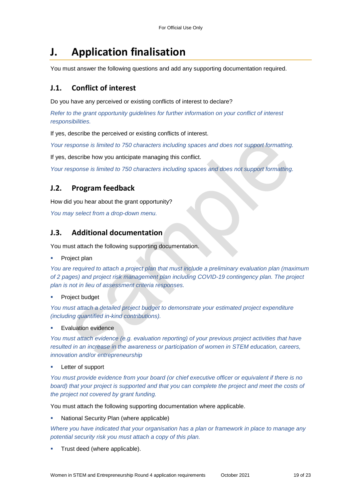# **J. Application finalisation**

You must answer the following questions and add any supporting documentation required.

## **J.1. Conflict of interest**

Do you have any perceived or existing conflicts of interest to declare?

*Refer to the grant opportunity guidelines for further information on your conflict of interest responsibilities.* 

If yes, describe the perceived or existing conflicts of interest.

*Your response is limited to 750 characters including spaces and does not support formatting.* 

If yes, describe how you anticipate managing this conflict.

*Your response is limited to 750 characters including spaces and does not support formatting.* 

## **J.2. Program feedback**

How did you hear about the grant opportunity?

*You may select from a drop-down menu.* 

## **J.3. Additional documentation**

You must attach the following supporting documentation.

Project plan

*You are required to attach a project plan that must include a preliminary evaluation plan (maximum of 2 pages) and project risk management plan including COVID-19 contingency plan. The project plan is not in lieu of assessment criteria responses.* 

Project budget

*You must attach a detailed project budget to demonstrate your estimated project expenditure (including quantified in-kind contributions).* 

Evaluation evidence

*You must attach evidence (e.g. evaluation reporting) of your previous project activities that have resulted in an increase in the awareness or participation of women in STEM education, careers, innovation and/or entrepreneurship* 

Letter of support

*You must provide evidence from your board (or chief executive officer or equivalent if there is no*  board) that your project is supported and that you can complete the project and meet the costs of *the project not covered by grant funding.* 

You must attach the following supporting documentation where applicable.

National Security Plan (where applicable)

*Where you have indicated that your organisation has a plan or framework in place to manage any potential security risk you must attach a copy of this plan.* 

Trust deed (where applicable).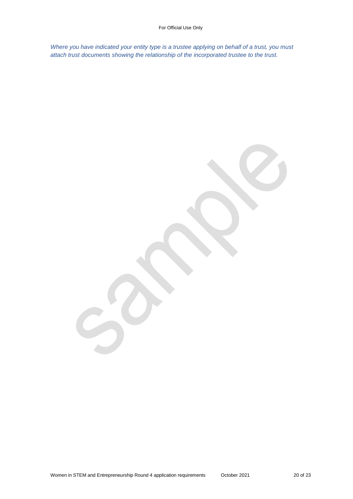*Where you have indicated your entity type is a trustee applying on behalf of a trust, you must attach trust documents showing the relationship of the incorporated trustee to the trust.*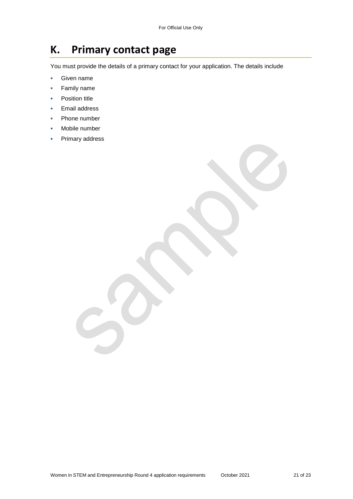## **K. Primary contact page**

You must provide the details of a primary contact for your application. The details include

- **Given name**
- Family name
- **•** Position title
- **Email address**
- Phone number
- Mobile number
- Primary address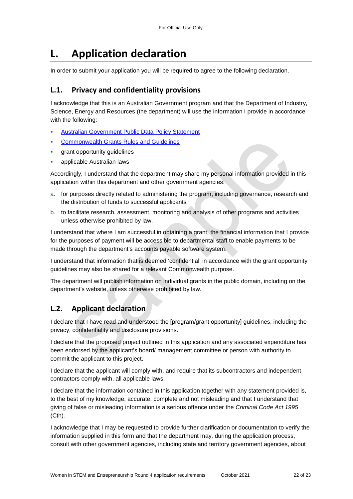# **L. Application declaration**

In order to submit your application you will be required to agree to the following declaration.

## **L.1. Privacy and confidentiality provisions**

I acknowledge that this is an Australian Government program and that the Department of Industry, Science, Energy and Resources (the department) will use the information I provide in accordance with the following:

- [Australian Government Public Data Policy Statement](https://www.pmc.gov.au/sites/default/files/publications/aust_govt_public_data_policy_statement_1.pdf)
- [Commonwealth Grants Rules and Guidelines](https://www.finance.gov.au/government/commonwealth-grants/commonwealth-grants-rules-guidelines)
- grant opportunity guidelines
- applicable Australian laws

Accordingly, I understand that the department may share my personal information provided in this application within this department and other government agencies:

- a. for purposes directly related to administering the program, including governance, research and the distribution of funds to successful applicants
- b. to facilitate research, assessment, monitoring and analysis of other programs and activities unless otherwise prohibited by law.

I understand that where I am successful in obtaining a grant, the financial information that I provide for the purposes of payment will be accessible to departmental staff to enable payments to be made through the department's accounts payable software system.

I understand that information that is deemed 'confidential' in accordance with the grant opportunity guidelines may also be shared for a relevant Commonwealth purpose.

The department will publish information on individual grants in the public domain, including on the department's website, unless otherwise prohibited by law.

## **L.2. Applicant declaration**

I declare that I have read and understood the [program/grant opportunity] guidelines, including the privacy, confidentiality and disclosure provisions.

I declare that the proposed project outlined in this application and any associated expenditure has been endorsed by the applicant's board/ management committee or person with authority to commit the applicant to this project.

I declare that the applicant will comply with, and require that its subcontractors and independent contractors comply with, all applicable laws.

I declare that the information contained in this application together with any statement provided is, to the best of my knowledge, accurate, complete and not misleading and that I understand that giving of false or misleading information is a serious offence under the *Criminal Code Act 1995*  (Cth)*.* 

I acknowledge that I may be requested to provide further clarification or documentation to verify the information supplied in this form and that the department may, during the application process, consult with other government agencies, including state and territory government agencies, about